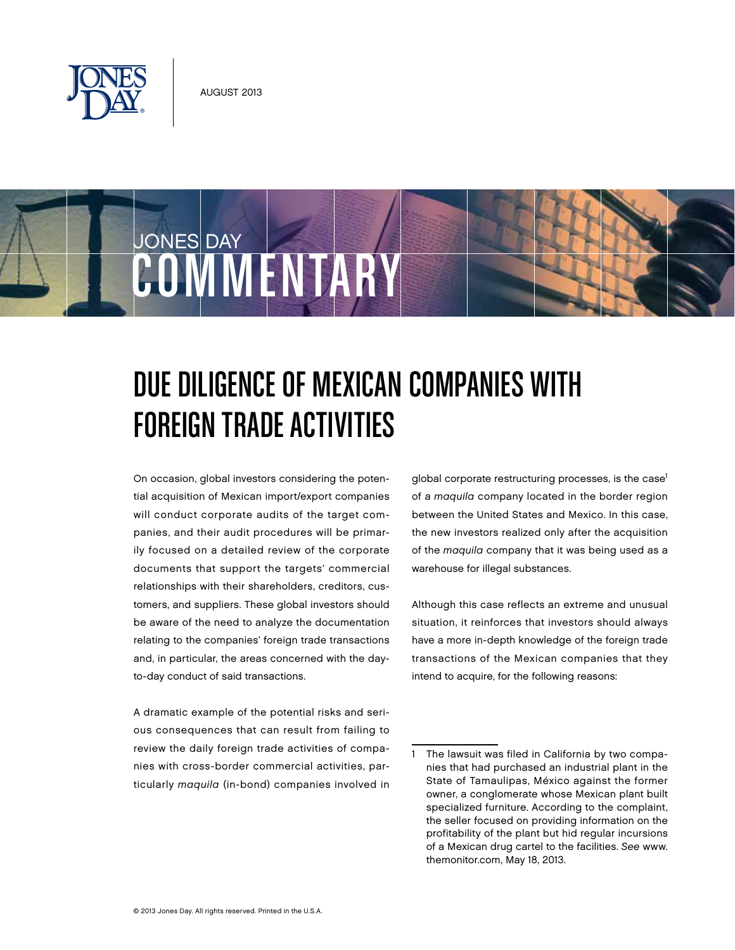

COMMENTAR

JONES DAY

## Due Diligence of Mexican Companies with Foreign Trade Activities

On occasion, global investors considering the potential acquisition of Mexican import/export companies will conduct corporate audits of the target companies, and their audit procedures will be primarily focused on a detailed review of the corporate documents that support the targets' commercial relationships with their shareholders, creditors, customers, and suppliers. These global investors should be aware of the need to analyze the documentation relating to the companies' foreign trade transactions and, in particular, the areas concerned with the dayto-day conduct of said transactions.

A dramatic example of the potential risks and serious consequences that can result from failing to review the daily foreign trade activities of companies with cross-border commercial activities, particularly maquila (in-bond) companies involved in global corporate restructuring processes, is the case<sup>1</sup> of a maquila company located in the border region between the United States and Mexico. In this case, the new investors realized only after the acquisition of the maquila company that it was being used as a warehouse for illegal substances.

Although this case reflects an extreme and unusual situation, it reinforces that investors should always have a more in-depth knowledge of the foreign trade transactions of the Mexican companies that they intend to acquire, for the following reasons:

<sup>1</sup> The lawsuit was filed in California by two companies that had purchased an industrial plant in the State of Tamaulipas, México against the former owner, a conglomerate whose Mexican plant built specialized furniture. According to the complaint, the seller focused on providing information on the profitability of the plant but hid regular incursions of a Mexican drug cartel to the facilities. See www. themonitor.com, May 18, 2013.